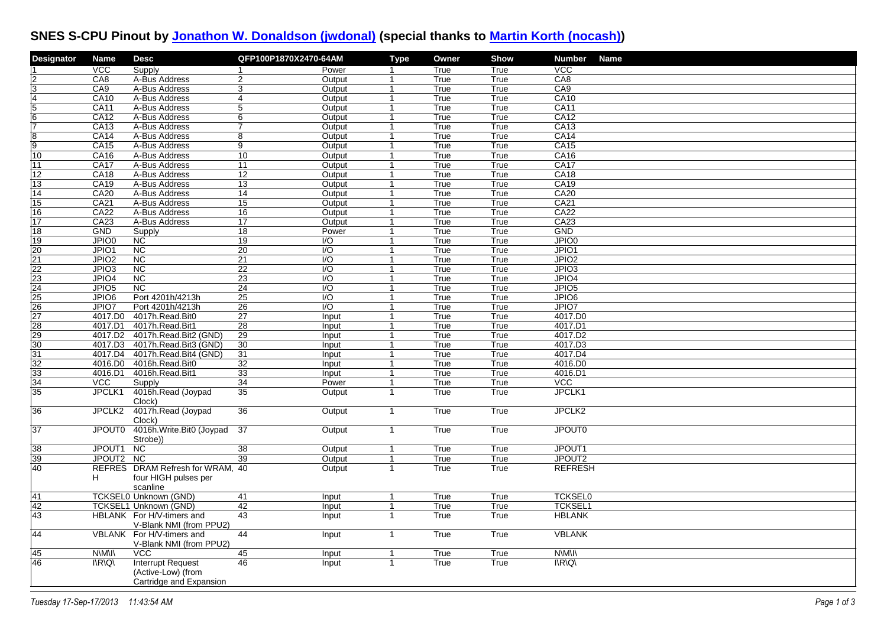## **SNES S-CPU Pinout by [Jonathon W. Donaldson \(jwdonal\)](https://rm-rfroot.net/snes_fpga/) (special thanks to [Martin Korth \(nocash\)\)](http://nocash.emubase.de/fullsnes.htm)**

| Designator                                      | <b>Name</b>                           | <b>Desc</b>                                          | QFP100P1870X2470-64AM |                  | <b>Type</b>          | Owner        | <b>Show</b>  | <b>Number</b><br><b>Name</b>          |
|-------------------------------------------------|---------------------------------------|------------------------------------------------------|-----------------------|------------------|----------------------|--------------|--------------|---------------------------------------|
|                                                 | $\overline{VCC}$                      | Supply                                               | 1                     | Power            | -1                   | True         | True         | <b>VCC</b>                            |
|                                                 | CA8                                   | A-Bus Address                                        | 2                     | Output           | 1                    | True         | True         | CA8                                   |
| 3                                               | CA9                                   | A-Bus Address                                        | 3                     | Output           | 1                    | True         | True         | CA9                                   |
| 14                                              | CA10                                  | A-Bus Address                                        | $\overline{4}$        | Output           | -1                   | True         | True         | CA10                                  |
| $\overline{5}$                                  | <b>CA11</b>                           | A-Bus Address                                        | $\overline{5}$        | Output           | 1                    | True         | True         | <b>CA11</b>                           |
| 16                                              | CA12                                  | A-Bus Address                                        | 6                     | Output           | $\overline{1}$       | True         | True         | CA12                                  |
| 17                                              | CA13                                  | A-Bus Address                                        | $\overline{7}$        | Output           | $\mathbf{1}$         | True         | True         | CA13                                  |
| $\overline{8}$                                  | CA14                                  | A-Bus Address                                        | $\overline{8}$        | Output           | $\overline{1}$       | True         | True         | CA14                                  |
| छि                                              | CA15                                  | A-Bus Address                                        | $\overline{9}$        | Output           | $\overline{1}$       | True         | True         | <b>CA15</b>                           |
| 10                                              | CA16                                  | A-Bus Address                                        | $\overline{10}$       | Output           | 1                    | True         | True         | CA16                                  |
| 11                                              | CA17                                  | A-Bus Address                                        | 11                    | Output           | $\overline{1}$       | True         | True         | CA17                                  |
| $ 12\rangle$                                    | CA18                                  | A-Bus Address                                        | $\overline{12}$       | Output           | -1                   | True         | True         | CA18                                  |
| $ 13\rangle$                                    | <b>CA19</b>                           | A-Bus Address                                        | $\overline{13}$       | Output           | -1                   | True         | True         | <b>CA19</b>                           |
| 14                                              | <b>CA20</b>                           | A-Bus Address                                        | 14                    | Output           | -1<br>$\overline{1}$ | True         | True         | <b>CA20</b>                           |
| 15                                              | <b>CA21</b>                           | A-Bus Address                                        | 15                    | Output           | -1                   | True         | True         | CA21                                  |
| 16                                              | <b>CA22</b>                           | A-Bus Address                                        | $\overline{16}$       | Output           |                      | True         | True         | CA22                                  |
| $\overline{17}$                                 | CA23<br><b>GND</b>                    | A-Bus Address                                        | $\overline{17}$       | Output           | -1                   | True         | True         | CA23<br><b>GND</b>                    |
| 18<br>19                                        | JPIO0                                 | Supply<br><b>NC</b>                                  | 18<br>19              | Power<br>I/O     | $\overline{1}$       | True<br>True | True<br>True | JPIO0                                 |
| $\overline{20}$                                 | JPIO1                                 | $\overline{\text{NC}}$                               | $\overline{20}$       | $\overline{1/O}$ | -1                   | True         | True         | JPIO1                                 |
|                                                 | JPIO <sub>2</sub>                     | $\overline{\text{NC}}$                               | 21                    | $\overline{VQ}$  | $\overline{1}$       | True         | True         | JPIO <sub>2</sub>                     |
| $\frac{21}{22}$<br>$\frac{22}{23}$              | JPIO <sub>3</sub>                     | $\overline{NC}$                                      | $\overline{22}$       | $\overline{1/O}$ | -1                   | True         | True         | JPIO <sub>3</sub>                     |
|                                                 | JPIO4                                 | $\overline{NC}$                                      | 23                    | $\overline{1/O}$ | 1                    | True         | True         | JPIO4                                 |
|                                                 | JPIO <sub>5</sub>                     | <b>NC</b>                                            | 24                    | $\overline{1/O}$ | $\overline{1}$       | True         | True         | JPIO <sub>5</sub>                     |
|                                                 | JPIO <sub>6</sub>                     | Port 4201h/4213h                                     | $\overline{25}$       | $\overline{1/O}$ | -1                   | True         | True         | JPIO <sub>6</sub>                     |
|                                                 | JPIO7                                 | Port 4201h/4213h                                     | $\overline{26}$       | $\overline{VQ}$  | -1                   | True         | True         | JPIO7                                 |
| $\frac{24}{25}$ $\frac{25}{27}$ $\frac{27}{28}$ | 4017.DO                               | 4017h.Read.Bit0                                      | 27                    | Input            | $\mathbf{1}$         | True         | True         | 4017.DO                               |
|                                                 | 4017.D1                               | 4017h.Read.Bit1                                      | 28                    | Input            | 1                    | True         | True         | 4017.D1                               |
| $\overline{29}$                                 | 4017.D2                               | 4017h.Read.Bit2 (GND)                                | $\overline{29}$       | Input            | $\overline{1}$       | True         | True         | 4017.D2                               |
| $\overline{30}$                                 | 4017.D3                               | 4017h.Read.Bit3 (GND)                                | 30                    | Input            | $\overline{1}$       | True         | True         | 4017.D3                               |
| $\overline{31}$                                 | 4017.D4                               | 4017h.Read.Bit4 (GND)                                | 31                    | Input            | 1                    | True         | True         | 4017.D4                               |
| $\overline{32}$                                 | 4016.DO                               | 4016h.Read.Bit0                                      | 32                    | Input            | $\overline{1}$       | True         | True         | 4016.D0                               |
| 33                                              | 4016.D1                               | 4016h.Read.Bit1                                      | 33                    | Input            | $\overline{1}$       | True         | True         | 4016.D1                               |
| $\overline{34}$                                 | <b>VCC</b>                            | Supply                                               | 34                    | Power            | $\overline{1}$       | True         | True         | $\overline{VCC}$                      |
| 35                                              | JPCLK1                                | 4016h.Read (Joypad                                   | 35                    | Output           | $\overline{1}$       | True         | True         | JPCLK1                                |
|                                                 |                                       | Clock)                                               |                       |                  |                      |              |              |                                       |
| $\overline{36}$                                 | JPCLK2                                | 4017h.Read (Joypad                                   | 36                    | Output           | $\mathbf{1}$         | True         | True         | JPCLK <sub>2</sub>                    |
|                                                 |                                       | Clock)                                               |                       |                  |                      |              |              |                                       |
| 37                                              | JPOUT0                                | 4016h. Write. Bit0 (Joypad                           | 37                    | Output           | $\mathbf{1}$         | True         | True         | <b>JPOUT0</b>                         |
|                                                 |                                       | Strobe))                                             |                       |                  |                      |              |              |                                       |
| 38                                              | JPOUT1                                | $\overline{NC}$                                      | $\overline{38}$       | Output           | $\mathbf{1}$         | True         | True         | JPOUT1                                |
| 39                                              | JPOUT2 NC                             |                                                      | 39                    | Output           | $\overline{1}$       | True         | True         | JPOUT <sub>2</sub>                    |
| 40                                              |                                       | REFRES DRAM Refresh for WRAM, 40                     |                       | Output           | $\mathbf{1}$         | True         | True         | <b>REFRESH</b>                        |
|                                                 | H.                                    | four HIGH pulses per                                 |                       |                  |                      |              |              |                                       |
|                                                 |                                       | scanline                                             |                       |                  |                      |              |              |                                       |
| 41                                              |                                       | TCKSEL0 Unknown (GND)                                | 41                    | Input            | $\overline{1}$       | True         | True         | <b>TCKSEL0</b>                        |
| 42                                              |                                       | <b>TCKSEL1 Unknown (GND)</b>                         | 42                    | Input            | $\mathbf 1$          | True         | True         | <b>TCKSEL1</b>                        |
| 43                                              |                                       | HBLANK For H/V-timers and<br>V-Blank NMI (from PPU2) | 43                    | <b>Input</b>     | $\overline{1}$       | True         | True         | <b>HBLANK</b>                         |
| 44                                              |                                       | VBLANK For H/V-timers and                            | 44                    | Input            | $\mathbf{1}$         | True         | True         | <b>VBLANK</b>                         |
| 45                                              | <b>N\M\I\</b>                         | V-Blank NMI (from PPU2)<br><b>VCC</b>                | 45                    |                  | 1                    | True         | True         | N\M\I\                                |
| 46                                              | $I\backslash R\backslash Q\backslash$ | <b>Interrupt Request</b>                             | 46                    | Input            | $\overline{1}$       | True         | True         | $I\backslash R\backslash Q\backslash$ |
|                                                 |                                       | (Active-Low) (from<br>Cartridge and Expansion        |                       | Input            |                      |              |              |                                       |
|                                                 |                                       |                                                      |                       |                  |                      |              |              |                                       |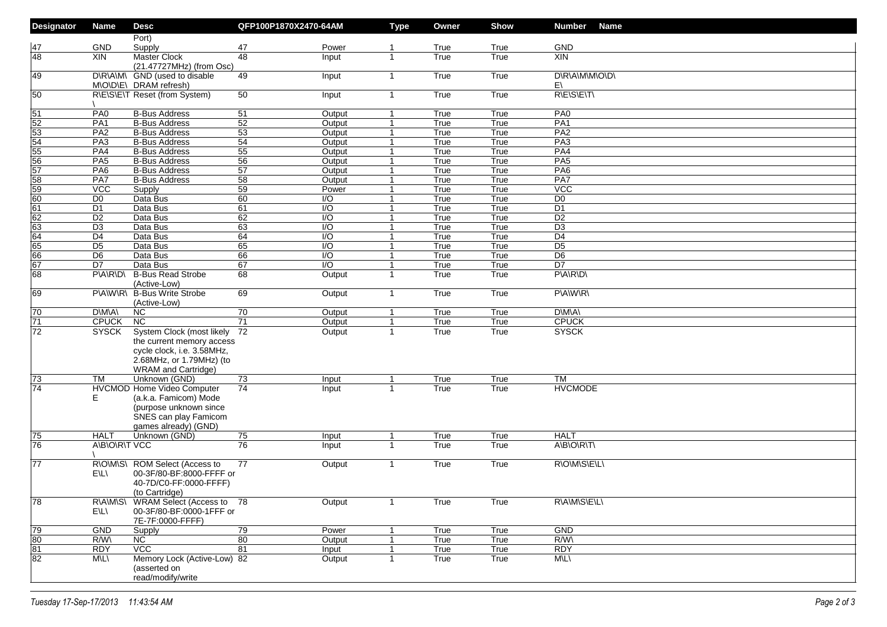| <b>Designator</b>     | <b>Name</b>                      | <b>Desc</b>                                                                                                                                    | QFP100P1870X2470-64AM |                                      | <b>Type</b>                      | Owner        | Show         | <b>Number</b><br><b>Name</b>      |
|-----------------------|----------------------------------|------------------------------------------------------------------------------------------------------------------------------------------------|-----------------------|--------------------------------------|----------------------------------|--------------|--------------|-----------------------------------|
|                       |                                  | Port)                                                                                                                                          |                       |                                      |                                  |              |              |                                   |
| 47<br>48              | <b>GND</b>                       | Supply                                                                                                                                         | 47                    | Power                                | -1                               | True         | True         | <b>GND</b>                        |
|                       | <b>XIN</b>                       | <b>Master Clock</b><br>(21.47727MHz) (from Osc)                                                                                                | 48                    | Input                                | 1                                | True         | True         | <b>XIN</b>                        |
| 49                    |                                  | D\R\A\M\ GND (used to disable<br>M\O\D\E\ DRAM refresh)                                                                                        | 49                    | Input                                | $\mathbf{1}$                     | True         | True         | D\R\A\M\M\O\D\<br>E١              |
| $\overline{50}$       |                                  | R\E\S\E\T Reset (from System)                                                                                                                  | 50                    | Input                                | $\mathbf{1}$                     | True         | True         | <b>RIEISIEITI</b>                 |
| $\overline{51}$       | PA <sub>0</sub>                  | <b>B-Bus Address</b>                                                                                                                           | 51                    | Output                               | $\mathbf{1}$                     | True         | True         | PA0                               |
| $\overline{52}$       | PA <sub>1</sub>                  | <b>B-Bus Address</b>                                                                                                                           | $\overline{52}$       | Output                               | $\mathbf 1$                      | True         | True         | PA1                               |
| $\overline{53}$       | PA2                              | <b>B-Bus Address</b>                                                                                                                           | $\overline{53}$       | Output                               | $\mathbf{1}$                     | True         | True         | PA2                               |
| $\overline{54}$       | PA3                              | <b>B-Bus Address</b>                                                                                                                           | 54                    | Output                               | $\mathbf{1}$                     | True         | True         | PA3                               |
| 55                    | PA4                              | <b>B-Bus Address</b>                                                                                                                           | $\overline{55}$       | Output                               | $\mathbf{1}$                     | True         | True         | PA4                               |
| 56                    | PA5                              | <b>B-Bus Address</b>                                                                                                                           | $\overline{56}$       | Output                               | $\mathbf{1}$                     | True         | True         | PA <sub>5</sub>                   |
| 57                    | PA <sub>6</sub>                  | <b>B-Bus Address</b>                                                                                                                           | $\overline{57}$       | Output                               | $\mathbf{1}$                     | True         | True         | PAG                               |
| 58                    | PA7                              | <b>B-Bus Address</b>                                                                                                                           | $\overline{58}$       | Output                               | $\mathbf{1}$                     | True         | True         | PA7                               |
| 59                    | $\overline{VCC}$                 | Supply                                                                                                                                         | $\overline{59}$       | Power                                | $\mathbf{1}$                     | True         | True         | $\overline{VCC}$                  |
| $\overline{60}$       | D <sub>0</sub>                   | Data Bus                                                                                                                                       | 60                    | I/O                                  | $\overline{1}$                   | True         | True         | D <sub>0</sub>                    |
| 61                    | D <sub>1</sub>                   | Data Bus                                                                                                                                       | 61                    | $\overline{1/O}$                     | $\mathbf{1}$                     | True         | True         | $\overline{D1}$                   |
| 62                    | D <sub>2</sub>                   | Data Bus                                                                                                                                       | 62                    | $\overline{1/O}$                     | $\overline{1}$                   | True         | True         | D <sub>2</sub>                    |
| 63                    | D <sub>3</sub>                   | Data Bus                                                                                                                                       | 63                    | $\overline{1/O}$                     | $\overline{1}$                   | True         | True         | $\overline{D3}$                   |
| 64                    | D <sub>4</sub>                   | Data Bus                                                                                                                                       | 64                    | $\overline{1/O}$<br>$\overline{1/O}$ | $\overline{1}$                   | True         | True         | D <sub>4</sub><br>$\overline{D5}$ |
| 65<br>66              | D <sub>5</sub><br>D <sub>6</sub> | Data Bus<br>Data Bus                                                                                                                           | 65<br>66              | $\overline{1/O}$                     | $\overline{1}$<br>$\overline{1}$ | True<br>True | True<br>True | D <sub>6</sub>                    |
| 67                    | D7                               | Data Bus                                                                                                                                       | 67                    | $\overline{1/O}$                     | $\overline{1}$                   | True         |              | $\overline{D7}$                   |
| 68                    | PVANRNDN                         | <b>B-Bus Read Strobe</b>                                                                                                                       | 68                    | Output                               | $\mathbf{1}$                     | True         | True<br>True | PVARVD                            |
|                       |                                  | (Active-Low)                                                                                                                                   |                       |                                      |                                  |              |              |                                   |
| 69                    |                                  | P\A\W\R\ B-Bus Write Strobe<br>(Active-Low)                                                                                                    | 69                    | Output                               | $\mathbf{1}$                     | True         | True         | PVAW/RV                           |
| 70                    | D\M\A\                           | NC.                                                                                                                                            | 70                    | Output                               | $\mathbf{1}$                     | True         | True         | D\M\A\                            |
| 71                    | <b>CPUCK</b>                     | N <sub>C</sub>                                                                                                                                 | 71                    | Output                               | $\mathbf{1}$                     | True         | True         | <b>CPUCK</b>                      |
| $\overline{72}$       | <b>SYSCK</b>                     | System Clock (most likely<br>the current memory access<br>cycle clock, i.e. 3.58MHz,<br>2.68MHz, or 1.79MHz) (to<br><b>WRAM</b> and Cartridge) | 72                    | Output                               | $\mathbf{1}$                     | True         | True         | <b>SYSCK</b>                      |
| $\overline{73}$       | <b>TM</b>                        | Unknown (GND)                                                                                                                                  | 73                    | Input                                | $\overline{1}$                   | True         | True         | <b>TM</b>                         |
| $\overline{74}$       | Е                                | HVCMOD Home Video Computer<br>(a.k.a. Famicom) Mode<br>(purpose unknown since<br>SNES can play Famicom<br>games already) (GND)                 | 74                    | Input                                | 1                                | True         | True         | <b>HVCMODE</b>                    |
| $\overline{75}$       | <b>HALT</b>                      | Unknown (GND)                                                                                                                                  | 75                    | Input                                | -1                               | True         | True         | <b>HALT</b>                       |
| 76                    | A\B\O\R\T VCC                    |                                                                                                                                                | 76                    | Input                                | 1                                | True         | True         | A\B\O\R\T\                        |
| 77                    | E\L\                             | R\O\M\S\ ROM Select (Access to<br>00-3F/80-BF:8000-FFFF or<br>40-7D/C0-FF:0000-FFFF)<br>(to Cartridge)                                         | 77                    | Output                               | $\mathbf{1}$                     | True         | True         | R\O\M\S\E\L\                      |
| 78                    | E\L\                             | R\A\M\S\ WRAM Select (Access to 78<br>00-3F/80-BF:0000-1FFF or<br>7E-7F:0000-FFFF)                                                             |                       | Output                               | $\mathbf{1}$                     | True         | True         | R\A\M\S\E\L\                      |
| 79                    | <b>GND</b>                       | Supply                                                                                                                                         | $\overline{79}$       | Power                                | $\mathbf{1}$                     | True         | True         | GND                               |
| $\overline{80}$       | R/W\                             | NC                                                                                                                                             | 80                    | Output                               | $\mathbf{1}$                     | True         | True         | $R/W\wedge$                       |
| $\frac{1}{\sqrt{81}}$ | <b>RDY</b>                       | VCC                                                                                                                                            | 81                    | Input                                | $\mathbf{1}$                     | True         | True         | <b>RDY</b>                        |
|                       | <b>MILI</b>                      | Memory Lock (Active-Low) 82<br>(asserted on<br>read/modify/write                                                                               |                       | Output                               | $\mathbf{1}$                     | True         | True         | <b>M\L\</b>                       |